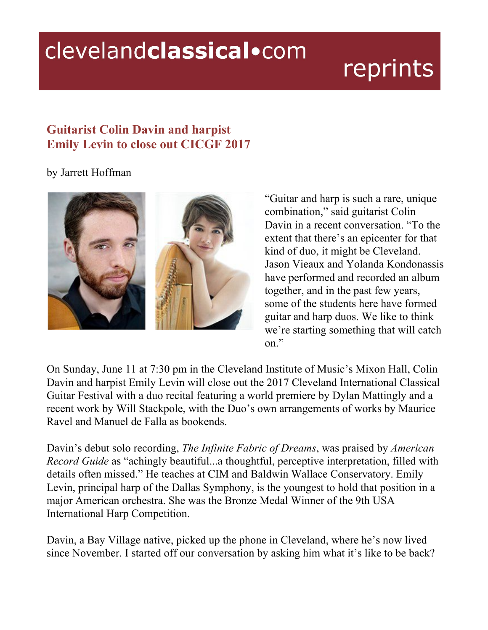## clevelandclassical.com

## reprints

## **Guitarist Colin Davin and harpist Emily Levin to close out CICGF 2017**

by Jarrett Hoffman



"Guitar and harp is such a rare, unique combination," said guitarist Colin Davin in a recent conversation. "To the extent that there's an epicenter for that kind of duo, it might be Cleveland. Jason Vieaux and Yolanda Kondonassis have performed and recorded an album together, and in the past few years, some of the students here have formed guitar and harp duos. We like to think we're starting something that will catch on."

On Sunday, June 11 at 7:30 pm in the Cleveland Institute of Music's Mixon Hall, Colin Davin and harpist Emily Levin will close out the 2017 Cleveland International Classical Guitar Festival with a duo recital featuring a world premiere by Dylan Mattingly and a recent work by Will Stackpole, with the Duo's own arrangements of works by Maurice Ravel and Manuel de Falla as bookends.

Davin's debut solo recording, *The Infinite Fabric of Dreams*, was praised by *American Record Guide* as "achingly beautiful...a thoughtful, perceptive interpretation, filled with details often missed." He teaches at CIM and Baldwin Wallace Conservatory. Emily Levin, principal harp of the Dallas Symphony, is the youngest to hold that position in a major American orchestra. She was the Bronze Medal Winner of the 9th USA International Harp Competition.

Davin, a Bay Village native, picked up the phone in Cleveland, where he's now lived since November. I started off our conversation by asking him what it's like to be back?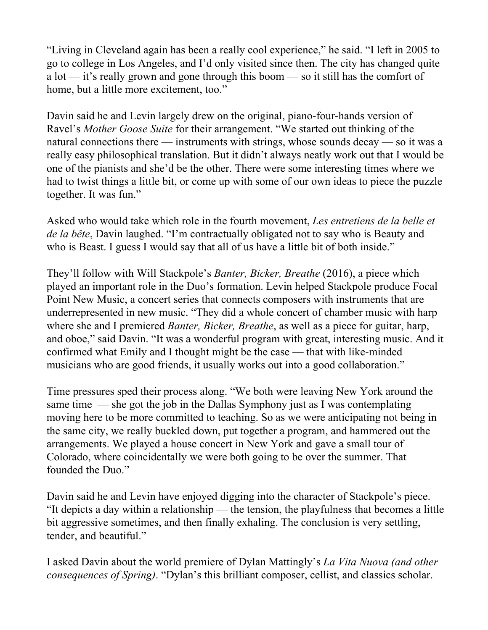"Living in Cleveland again has been a really cool experience," he said. "I left in 2005 to go to college in Los Angeles, and I'd only visited since then. The city has changed quite a lot — it's really grown and gone through this boom — so it still has the comfort of home, but a little more excitement, too."

Davin said he and Levin largely drew on the original, piano-four-hands version of Ravel's *Mother Goose Suite* for their arrangement. "We started out thinking of the natural connections there — instruments with strings, whose sounds decay — so it was a really easy philosophical translation. But it didn't always neatly work out that I would be one of the pianists and she'd be the other. There were some interesting times where we had to twist things a little bit, or come up with some of our own ideas to piece the puzzle together. It was fun."

Asked who would take which role in the fourth movement, *Les entretiens de la belle et de la bête*, Davin laughed. "I'm contractually obligated not to say who is Beauty and who is Beast. I guess I would say that all of us have a little bit of both inside."

They'll follow with Will Stackpole's *Banter, Bicker, Breathe* (2016), a piece which played an important role in the Duo's formation. Levin helped Stackpole produce Focal Point New Music, a concert series that connects composers with instruments that are underrepresented in new music. "They did a whole concert of chamber music with harp where she and I premiered *Banter, Bicker, Breathe*, as well as a piece for guitar, harp, and oboe," said Davin. "It was a wonderful program with great, interesting music. And it confirmed what Emily and I thought might be the case — that with like-minded musicians who are good friends, it usually works out into a good collaboration."

Time pressures sped their process along. "We both were leaving New York around the same time — she got the job in the Dallas Symphony just as I was contemplating moving here to be more committed to teaching. So as we were anticipating not being in the same city, we really buckled down, put together a program, and hammered out the arrangements. We played a house concert in New York and gave a small tour of Colorado, where coincidentally we were both going to be over the summer. That founded the Duo."

Davin said he and Levin have enjoyed digging into the character of Stackpole's piece. "It depicts a day within a relationship — the tension, the playfulness that becomes a little bit aggressive sometimes, and then finally exhaling. The conclusion is very settling, tender, and beautiful."

I asked Davin about the world premiere of Dylan Mattingly's *La Vita Nuova (and other consequences of Spring)*. "Dylan's this brilliant composer, cellist, and classics scholar.